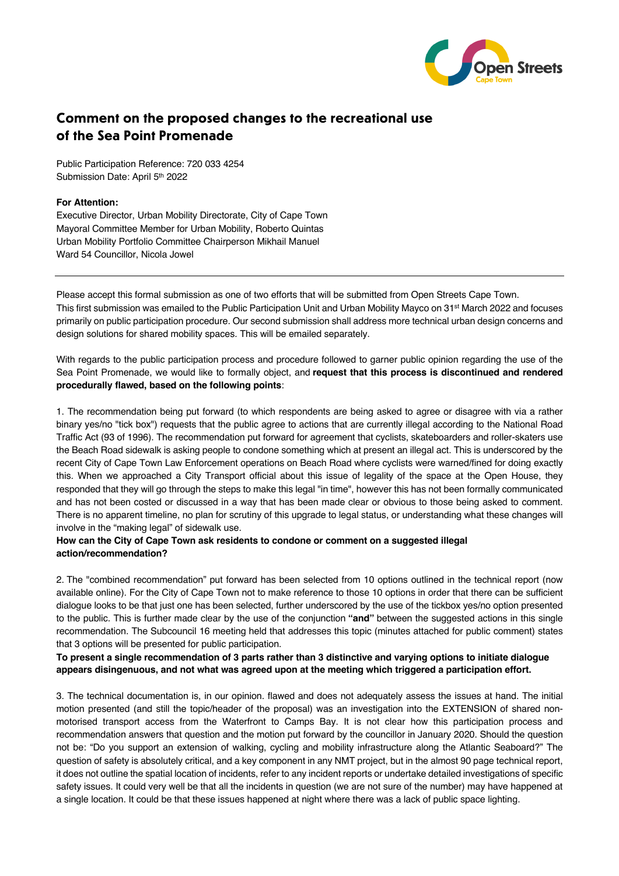

# Comment on the proposed changes to the recreational use of the Sea Point Promenade

Public Participation Reference: 720 033 4254 Submission Date: April 5th 2022

#### **For Attention:**

Executive Director, Urban Mobility Directorate, City of Cape Town Mayoral Committee Member for Urban Mobility, Roberto Quintas Urban Mobility Portfolio Committee Chairperson Mikhail Manuel Ward 54 Councillor, Nicola Jowel

Please accept this formal submission as one of two efforts that will be submitted from Open Streets Cape Town. This first submission was emailed to the Public Participation Unit and Urban Mobility Mayco on 31st March 2022 and focuses primarily on public participation procedure. Our second submission shall address more technical urban design concerns and design solutions for shared mobility spaces. This will be emailed separately.

With regards to the public participation process and procedure followed to garner public opinion regarding the use of the Sea Point Promenade, we would like to formally object, and **request that this process is discontinued and rendered procedurally flawed, based on the following points**:

1. The recommendation being put forward (to which respondents are being asked to agree or disagree with via a rather binary yes/no "tick box") requests that the public agree to actions that are currently illegal according to the National Road Traffic Act (93 of 1996). The recommendation put forward for agreement that cyclists, skateboarders and roller-skaters use the Beach Road sidewalk is asking people to condone something which at present an illegal act. This is underscored by the recent City of Cape Town Law Enforcement operations on Beach Road where cyclists were warned/fined for doing exactly this. When we approached a City Transport official about this issue of legality of the space at the Open House, they responded that they will go through the steps to make this legal "in time", however this has not been formally communicated and has not been costed or discussed in a way that has been made clear or obvious to those being asked to comment. There is no apparent timeline, no plan for scrutiny of this upgrade to legal status, or understanding what these changes will involve in the "making legal" of sidewalk use.

#### **How can the City of Cape Town ask residents to condone or comment on a suggested illegal action/recommendation?**

2. The "combined recommendation" put forward has been selected from 10 options outlined in the technical report (now available online). For the City of Cape Town not to make reference to those 10 options in order that there can be sufficient dialogue looks to be that just one has been selected, further underscored by the use of the tickbox yes/no option presented to the public. This is further made clear by the use of the conjunction **"and"** between the suggested actions in this single recommendation. The Subcouncil 16 meeting held that addresses this topic (minutes attached for public comment) states that 3 options will be presented for public participation.

### **To present a single recommendation of 3 parts rather than 3 distinctive and varying options to initiate dialogue appears disingenuous, and not what was agreed upon at the meeting which triggered a participation effort.**

3. The technical documentation is, in our opinion. flawed and does not adequately assess the issues at hand. The initial motion presented (and still the topic/header of the proposal) was an investigation into the EXTENSION of shared nonmotorised transport access from the Waterfront to Camps Bay. It is not clear how this participation process and recommendation answers that question and the motion put forward by the councillor in January 2020. Should the question not be: "Do you support an extension of walking, cycling and mobility infrastructure along the Atlantic Seaboard?" The question of safety is absolutely critical, and a key component in any NMT project, but in the almost 90 page technical report, it does not outline the spatial location of incidents, refer to any incident reports or undertake detailed investigations of specific safety issues. It could very well be that all the incidents in question (we are not sure of the number) may have happened at a single location. It could be that these issues happened at night where there was a lack of public space lighting.